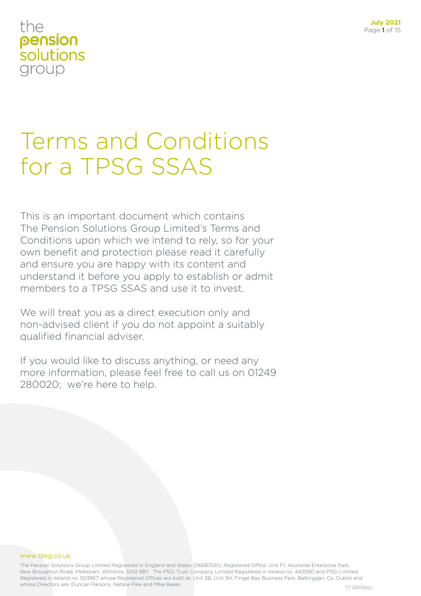# Terms and Conditions for a TPSG SSAS

This is an important document which contains The Pension Solutions Group Limited's Terms and Conditions upon which we intend to rely, so for your own benefit and protection please read it carefully and ensure you are happy with its content and understand it before you apply to establish or admit members to a TPSG SSAS and use it to invest.

We will treat you as a direct execution only and non-advised client if you do not appoint a suitably qualified financial adviser.

If you would like to discuss anything, or need any more information, please feel free to call us on 01249 280020; we're here to help.

#### www.tpsg.co.uk

The Pension Solutions Group Limited Registered in England and Wales (06683561), Registered Office: Unit F1, Avonside Enterprise Park, New Broughton Road, Melksham, Wiltshire, SN12 8BT. The PSGi Trust Company Limited Registered in Ireland no. 442080 and PSGi Limited Registered in Ireland no. 503867 whose Registered Offices are both at: Unit 5B, Unit 5H, Fingal Bay Business Park, Balbriggan, Co. Dublin and whose Directors are: Duncan Parsons, Natalie Pike and Mike Baker. V7 23072021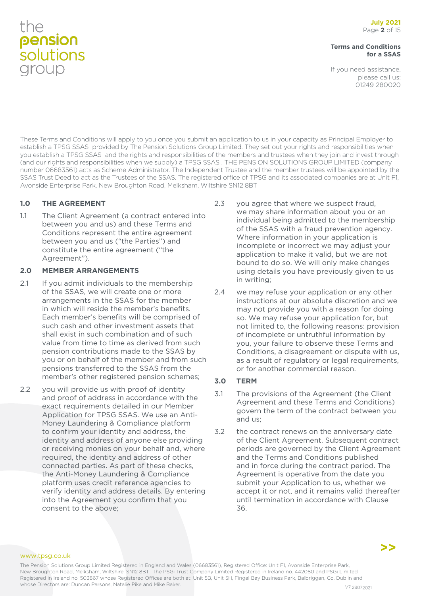#### **Terms and Conditions for a SSAS**

If you need assistance, please call us: 01249 280020

These Terms and Conditions will apply to you once you submit an application to us in your capacity as Principal Employer to establish a TPSG SSAS provided by The Pension Solutions Group Limited. They set out your rights and responsibilities when you establish a TPSG SSAS and the rights and responsibilities of the members and trustees when they join and invest through (and our rights and responsibilities when we supply) a TPSG SSAS . THE PENSION SOLUTIONS GROUP LIMITED (company number 06683561) acts as Scheme Administrator. The Independent Trustee and the member trustees will be appointed by the SSAS Trust Deed to act as the Trustees of the SSAS. The registered office of TPSG and its associated companies are at Unit F1, Avonside Enterprise Park, New Broughton Road, Melksham, Wiltshire SN12 8BT

### **1.0 THE AGREEMENT**

1.1 The Client Agreement (a contract entered into between you and us) and these Terms and Conditions represent the entire agreement between you and us ("the Parties") and constitute the entire agreement ("the Agreement").

#### **2.0 MEMBER ARRANGEMENTS**

- 2.1 If you admit individuals to the membership of the SSAS, we will create one or more arrangements in the SSAS for the member in which will reside the member's benefits. Each member's benefits will be comprised of such cash and other investment assets that shall exist in such combination and of such value from time to time as derived from such pension contributions made to the SSAS by you or on behalf of the member and from such pensions transferred to the SSAS from the member's other registered pension schemes;
- 2.2 you will provide us with proof of identity and proof of address in accordance with the exact requirements detailed in our Member Application for TPSG SSAS. We use an Anti-Money Laundering & Compliance platform to confirm your identity and address, the identity and address of anyone else providing or receiving monies on your behalf and, where required, the identity and address of other connected parties. As part of these checks, the Anti-Money Laundering & Compliance platform uses credit reference agencies to verify identity and address details. By entering into the Agreement you confirm that you consent to the above;
- 2.3 you agree that where we suspect fraud, we may share information about you or an individual being admitted to the membership of the SSAS with a fraud prevention agency. Where information in your application is incomplete or incorrect we may adjust your application to make it valid, but we are not bound to do so. We will only make changes using details you have previously given to us in writing;
- 2.4 we may refuse your application or any other instructions at our absolute discretion and we may not provide you with a reason for doing so. We may refuse your application for, but not limited to, the following reasons: provision of incomplete or untruthful information by you, your failure to observe these Terms and Conditions, a disagreement or dispute with us, as a result of regulatory or legal requirements, or for another commercial reason.

### **3.0 TERM**

- 3.1 The provisions of the Agreement (the Client Agreement and these Terms and Conditions) govern the term of the contract between you and us;
- 3.2 the contract renews on the anniversary date of the Client Agreement. Subsequent contract periods are governed by the Client Agreement and the Terms and Conditions published and in force during the contract period. The Agreement is operative from the date you submit your Application to us, whether we accept it or not, and it remains valid thereafter until termination in accordance with Clause 36.

www.tpsg.co.uk

The Pension Solutions Group Limited Registered in England and Wales (06683561), Registered Office: Unit F1, Avonside Enterprise Park, New Broughton Road, Melksham, Wiltshire, SN12 8BT. The PSGi Trust Company Limited Registered in Ireland no. 442080 and PSGi Limited Registered in Ireland no. 503867 whose Registered Offices are both at: Unit 5B, Unit 5H, Fingal Bay Business Park, Balbriggan, Co. Dublin and whose Directors are: Duncan Parsons, Natalie Pike and Mike Baker. Value of the Value of the V7 23072021

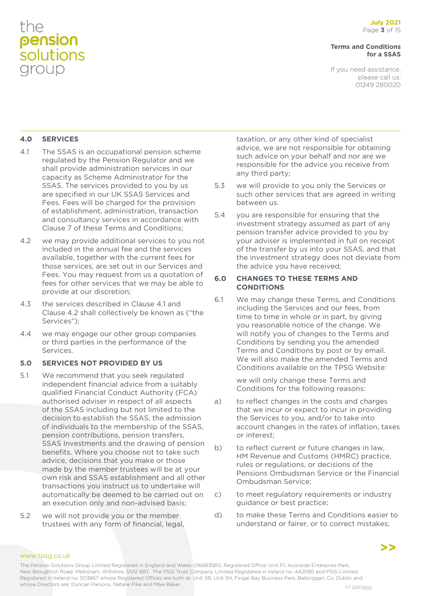#### **Terms and Conditions for a SSAS**

If you need assistance, please call us: 01249 280020

### **4.0 SERVICES**

- 4.1 The SSAS is an occupational pension scheme regulated by the Pension Regulator and we shall provide administration services in our capacity as Scheme Administrator for the SSAS. The services provided to you by us are specified in our UK SSAS Services and Fees. Fees will be charged for the provision of establishment, administration, transaction and consultancy services in accordance with Clause 7 of these Terms and Conditions;
- 4.2 we may provide additional services to you not included in the annual fee and the services available, together with the current fees for those services, are set out in our Services and Fees. You may request from us a quotation of fees for other services that we may be able to provide at our discretion;
- 4.3 the services described in Clause 4.1 and Clause 4.2 shall collectively be known as ("the Services");
- 4.4 we may engage our other group companies or third parties in the performance of the Services.

#### **5.0 SERVICES NOT PROVIDED BY US**

- 5.1 We recommend that you seek regulated independent financial advice from a suitably qualified Financial Conduct Authority (FCA) authorised adviser in respect of all aspects of the SSAS including but not limited to the decision to establish the SSAS, the admission of individuals to the membership of the SSAS, pension contributions, pension transfers, SSAS Investments and the drawing of pension benefits. Where you choose not to take such advice, decisions that you make or those made by the member trustees will be at your own risk and SSAS establishment and all other transactions you instruct us to undertake will automatically be deemed to be carried out on an execution only and non-advised basis;
- 5.2 we will not provide you or the member trustees with any form of financial, legal,

taxation, or any other kind of specialist advice, we are not responsible for obtaining such advice on your behalf and nor are we responsible for the advice you receive from any third party;

- 5.3 we will provide to you only the Services or such other services that are agreed in writing between us.
- 5.4 you are responsible for ensuring that the investment strategy assumed as part of any pension transfer advice provided to you by your adviser is implemented in full on receipt of the transfer by us into your SSAS, and that the investment strategy does not deviate from the advice you have received;

#### **6.0 CHANGES TO THESE TERMS AND CONDITIONS**

6.1 We may change these Terms, and Conditions including the Services and our fees, from time to time in whole or in part, by giving you reasonable notice of the change. We will notify you of changes to the Terms and Conditions by sending you the amended Terms and Conditions by post or by email. We will also make the amended Terms and Conditions available on the TPSG Website:

> we will only change these Terms and Conditions for the following reasons:

- a) to reflect changes in the costs and charges that we incur or expect to incur in providing the Services to you, and/or to take into account changes in the rates of inflation, taxes or interest;
- b) to reflect current or future changes in law, HM Revenue and Customs (HMRC) practice, rules or regulations, or decisions of the Pensions Ombudsman Service or the Financial Ombudsman Service;
- c) to meet regulatory requirements or industry guidance or best practice;
- d) to make these Terms and Conditions easier to understand or fairer, or to correct mistakes;

#### www.tpsg.co.uk

The Pension Solutions Group Limited Registered in England and Wales (06683561), Registered Office: Unit F1, Avonside Enterprise Park, New Broughton Road, Melksham, Wiltshire, SN12 8BT. The PSGi Trust Company Limited Registered in Ireland no. 442080 and PSGi Limited Registered in Ireland no. 503867 whose Registered Offices are both at: Unit 5B, Unit 5H, Fingal Bay Business Park, Balbriggan, Co. Dublin and whose Directors are: Duncan Parsons, Natalie Pike and Mike Baker. Value of the Value of the V7 23072021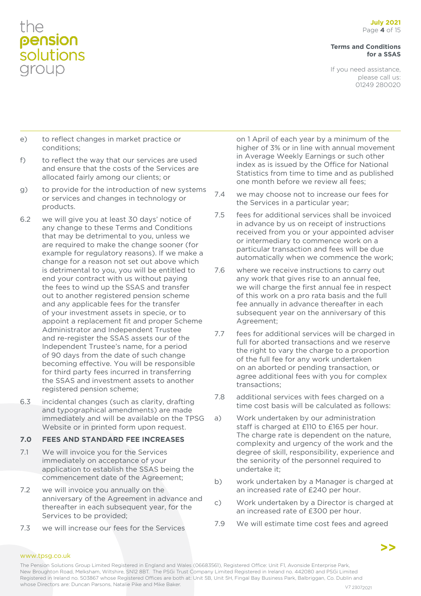#### **Terms and Conditions for a SSAS**

If you need assistance, please call us: 01249 280020

- e) to reflect changes in market practice or conditions;
- f) to reflect the way that our services are used and ensure that the costs of the Services are allocated fairly among our clients; or
- g) to provide for the introduction of new systems or services and changes in technology or products.
- 6.2 we will give you at least 30 days' notice of any change to these Terms and Conditions that may be detrimental to you, unless we are required to make the change sooner (for example for regulatory reasons). If we make a change for a reason not set out above which is detrimental to you, you will be entitled to end your contract with us without paying the fees to wind up the SSAS and transfer out to another registered pension scheme and any applicable fees for the transfer of your investment assets in specie, or to appoint a replacement fit and proper Scheme Administrator and Independent Trustee and re-register the SSAS assets our of the Independent Trustee's name, for a period of 90 days from the date of such change becoming effective. You will be responsible for third party fees incurred in transferring the SSAS and investment assets to another registered pension scheme;
- 6.3 incidental changes (such as clarity, drafting and typographical amendments) are made immediately and will be available on the TPSG Website or in printed form upon request.

#### **7.0 FEES AND STANDARD FEE INCREASES**

- 7.1 We will invoice you for the Services immediately on acceptance of your application to establish the SSAS being the commencement date of the Agreement;
- 7.2 we will invoice you annually on the anniversary of the Agreement in advance and thereafter in each subsequent year, for the Services to be provided;
- 7.3 we will increase our fees for the Services

on 1 April of each year by a minimum of the higher of 3% or in line with annual movement in Average Weekly Earnings or such other index as is issued by the Office for National Statistics from time to time and as published one month before we review all fees;

- 7.4 we may choose not to increase our fees for the Services in a particular year;
- 7.5 fees for additional services shall be invoiced in advance by us on receipt of instructions received from you or your appointed adviser or intermediary to commence work on a particular transaction and fees will be due automatically when we commence the work;
- 7.6 where we receive instructions to carry out any work that gives rise to an annual fee, we will charge the first annual fee in respect of this work on a pro rata basis and the full fee annually in advance thereafter in each subsequent year on the anniversary of this Agreement;
- 7.7 fees for additional services will be charged in full for aborted transactions and we reserve the right to vary the charge to a proportion of the full fee for any work undertaken on an aborted or pending transaction, or agree additional fees with you for complex transactions;
- 7.8 additional services with fees charged on a time cost basis will be calculated as follows:
- a) Work undertaken by our administration staff is charged at £110 to £165 per hour. The charge rate is dependent on the nature, complexity and urgency of the work and the degree of skill, responsibility, experience and the seniority of the personnel required to undertake it;
- b) work undertaken by a Manager is charged at an increased rate of £240 per hour.
- c) Work undertaken by a Director is charged at an increased rate of £300 per hour.
- 7.9 We will estimate time cost fees and agreed

#### www.tpsg.co.uk

The Pension Solutions Group Limited Registered in England and Wales (06683561), Registered Office: Unit F1, Avonside Enterprise Park, New Broughton Road, Melksham, Wiltshire, SN12 8BT. The PSGi Trust Company Limited Registered in Ireland no. 442080 and PSGi Limited Registered in Ireland no. 503867 whose Registered Offices are both at: Unit 5B, Unit 5H, Fingal Bay Business Park, Balbriggan, Co. Dublin and whose Directors are: Duncan Parsons, Natalie Pike and Mike Baker. Value of the Value of the V7 23072021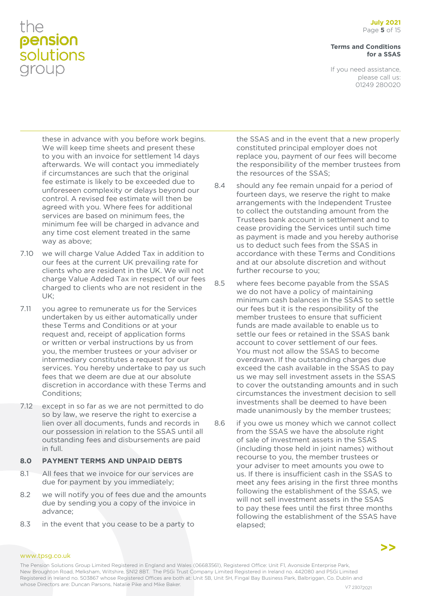#### **Terms and Conditions for a SSAS**

If you need assistance, please call us: 01249 280020

these in advance with you before work begins. We will keep time sheets and present these to you with an invoice for settlement 14 days afterwards. We will contact you immediately if circumstances are such that the original fee estimate is likely to be exceeded due to unforeseen complexity or delays beyond our control. A revised fee estimate will then be agreed with you. Where fees for additional services are based on minimum fees, the minimum fee will be charged in advance and any time cost element treated in the same way as above;

- 7.10 we will charge Value Added Tax in addition to our fees at the current UK prevailing rate for clients who are resident in the UK. We will not charge Value Added Tax in respect of our fees charged to clients who are not resident in the UK;
- 7.11 you agree to remunerate us for the Services undertaken by us either automatically under these Terms and Conditions or at your request and, receipt of application forms or written or verbal instructions by us from you, the member trustees or your adviser or intermediary constitutes a request for our services. You hereby undertake to pay us such fees that we deem are due at our absolute discretion in accordance with these Terms and Conditions;
- 7.12 except in so far as we are not permitted to do so by law, we reserve the right to exercise a lien over all documents, funds and records in our possession in relation to the SSAS until all outstanding fees and disbursements are paid in full.

### **8.0 PAYMENT TERMS AND UNPAID DEBTS**

- 8.1 All fees that we invoice for our services are due for payment by you immediately;
- 8.2 we will notify you of fees due and the amounts due by sending you a copy of the invoice in advance;
- 8.3 in the event that you cease to be a party to

the SSAS and in the event that a new properly constituted principal employer does not replace you, payment of our fees will become the responsibility of the member trustees from the resources of the SSAS;

- 8.4 should any fee remain unpaid for a period of fourteen days, we reserve the right to make arrangements with the Independent Trustee to collect the outstanding amount from the Trustees bank account in settlement and to cease providing the Services until such time as payment is made and you hereby authorise us to deduct such fees from the SSAS in accordance with these Terms and Conditions and at our absolute discretion and without further recourse to you;
- 8.5 where fees become payable from the SSAS we do not have a policy of maintaining minimum cash balances in the SSAS to settle our fees but it is the responsibility of the member trustees to ensure that sufficient funds are made available to enable us to settle our fees or retained in the SSAS bank account to cover settlement of our fees. You must not allow the SSAS to become overdrawn. If the outstanding charges due exceed the cash available in the SSAS to pay us we may sell investment assets in the SSAS to cover the outstanding amounts and in such circumstances the investment decision to sell investments shall be deemed to have been made unanimously by the member trustees;
- 8.6 if you owe us money which we cannot collect from the SSAS we have the absolute right of sale of investment assets in the SSAS (including those held in joint names) without recourse to you, the member trustees or your adviser to meet amounts you owe to us. If there is insufficient cash in the SSAS to meet any fees arising in the first three months following the establishment of the SSAS, we will not sell investment assets in the SSAS to pay these fees until the first three months following the establishment of the SSAS have elapsed;

**>>**

#### www.tpsg.co.uk

The Pension Solutions Group Limited Registered in England and Wales (06683561), Registered Office: Unit F1, Avonside Enterprise Park, New Broughton Road, Melksham, Wiltshire, SN12 8BT. The PSGi Trust Company Limited Registered in Ireland no. 442080 and PSGi Limited Registered in Ireland no. 503867 whose Registered Offices are both at: Unit 5B, Unit 5H, Fingal Bay Business Park, Balbriggan, Co. Dublin and whose Directors are: Duncan Parsons, Natalie Pike and Mike Baker. Value of the Value of the V7 23072021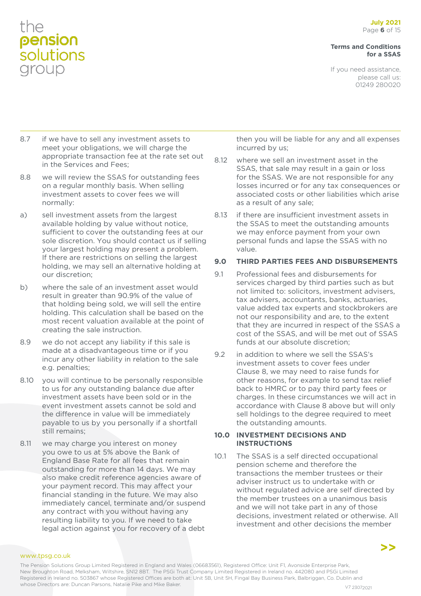#### **Terms and Conditions for a SSAS**

If you need assistance, please call us: 01249 280020

- 8.7 if we have to sell any investment assets to meet your obligations, we will charge the appropriate transaction fee at the rate set out in the Services and Fees;
- 8.8 we will review the SSAS for outstanding fees on a regular monthly basis. When selling investment assets to cover fees we will normally:
- a) sell investment assets from the largest available holding by value without notice, sufficient to cover the outstanding fees at our sole discretion. You should contact us if selling your largest holding may present a problem. If there are restrictions on selling the largest holding, we may sell an alternative holding at our discretion;
- b) where the sale of an investment asset would result in greater than 90.9% of the value of that holding being sold, we will sell the entire holding. This calculation shall be based on the most recent valuation available at the point of creating the sale instruction.
- 8.9 we do not accept any liability if this sale is made at a disadvantageous time or if you incur any other liability in relation to the sale e.g. penalties;
- 8.10 you will continue to be personally responsible to us for any outstanding balance due after investment assets have been sold or in the event investment assets cannot be sold and the difference in value will be immediately payable to us by you personally if a shortfall still remains;
- 8.11 we may charge you interest on money you owe to us at 5% above the Bank of England Base Rate for all fees that remain outstanding for more than 14 days. We may also make credit reference agencies aware of your payment record. This may affect your financial standing in the future. We may also immediately cancel, terminate and/or suspend any contract with you without having any resulting liability to you. If we need to take legal action against you for recovery of a debt

then you will be liable for any and all expenses incurred by us;

- 8.12 where we sell an investment asset in the SSAS, that sale may result in a gain or loss for the SSAS. We are not responsible for any losses incurred or for any tax consequences or associated costs or other liabilities which arise as a result of any sale;
- 8.13 if there are insufficient investment assets in the SSAS to meet the outstanding amounts we may enforce payment from your own personal funds and lapse the SSAS with no value.

### **9.0 THIRD PARTIES FEES AND DISBURSEMENTS**

- 9.1 Professional fees and disbursements for services charged by third parties such as but not limited to: solicitors, investment advisers, tax advisers, accountants, banks, actuaries, value added tax experts and stockbrokers are not our responsibility and are, to the extent that they are incurred in respect of the SSAS a cost of the SSAS, and will be met out of SSAS funds at our absolute discretion;
- 9.2 in addition to where we sell the SSAS's investment assets to cover fees under Clause 8, we may need to raise funds for other reasons, for example to send tax relief back to HMRC or to pay third party fees or charges. In these circumstances we will act in accordance with Clause 8 above but will only sell holdings to the degree required to meet the outstanding amounts.

#### **10.0 INVESTMENT DECISIONS AND INSTRUCTIONS**

10.1 The SSAS is a self directed occupational pension scheme and therefore the transactions the member trustees or their adviser instruct us to undertake with or without regulated advice are self directed by the member trustees on a unanimous basis and we will not take part in any of those decisions, investment related or otherwise. All investment and other decisions the member

www.tpsg.co.uk

The Pension Solutions Group Limited Registered in England and Wales (06683561), Registered Office: Unit F1, Avonside Enterprise Park, New Broughton Road, Melksham, Wiltshire, SN12 8BT. The PSGi Trust Company Limited Registered in Ireland no. 442080 and PSGi Limited Registered in Ireland no. 503867 whose Registered Offices are both at: Unit 5B, Unit 5H, Fingal Bay Business Park, Balbriggan, Co. Dublin and whose Directors are: Duncan Parsons, Natalie Pike and Mike Baker. Value of the Value of the V7 23072021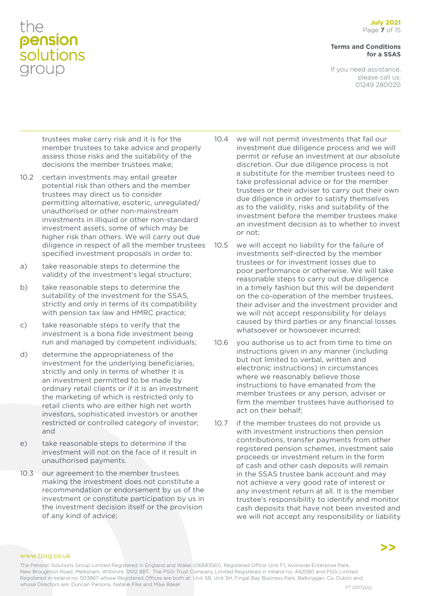#### **Terms and Conditions for a SSAS**

If you need assistance, please call us: 01249 280020

trustees make carry risk and it is for the member trustees to take advice and properly assess those risks and the suitability of the decisions the member trustees make;

- 10.2 certain investments may entail greater potential risk than others and the member trustees may direct us to consider permitting alternative, esoteric, unregulated/ unauthorised or other non-mainstream investments in illiquid or other non-standard investment assets, some of which may be higher risk than others. We will carry out due diligence in respect of all the member trustees specified investment proposals in order to:
- a) take reasonable steps to determine the validity of the investment's legal structure;
- b) take reasonable steps to determine the suitability of the investment for the SSAS, strictly and only in terms of its compatibility with pension tax law and HMRC practice;
- c) take reasonable steps to verify that the investment is a bona fide investment being run and managed by competent individuals;
- d) determine the appropriateness of the investment for the underlying beneficiaries, strictly and only in terms of whether it is an investment permitted to be made by ordinary retail clients or if it is an investment the marketing of which is restricted only to retail clients who are either high net worth investors, sophisticated investors or another restricted or controlled category of investor; and
- e) take reasonable steps to determine if the investment will not on the face of it result in unauthorised payments.
- 10.3 our agreement to the member trustees making the investment does not constitute a recommendation or endorsement by us of the investment or constitute participation by us in the investment decision itself or the provision of any kind of advice;
- 10.4 we will not permit investments that fail our investment due diligence process and we will permit or refuse an investment at our absolute discretion. Our due diligence process is not a substitute for the member trustees need to take professional advice or for the member trustees or their adviser to carry out their own due diligence in order to satisfy themselves as to the validity, risks and suitability of the investment before the member trustees make an investment decision as to whether to invest or not;
- 10.5 we will accept no liability for the failure of investments self-directed by the member trustees or for investment losses due to poor performance or otherwise. We will take reasonable steps to carry out due diligence in a timely fashion but this will be dependent on the co-operation of the member trustees, their adviser and the investment provider and we will not accept responsibility for delays caused by third parties or any financial losses whatsoever or howsoever incurred;
- 10.6 you authorise us to act from time to time on instructions given in any manner (including but not limited to verbal, written and electronic instructions) in circumstances where we reasonably believe those instructions to have emanated from the member trustees or any person, adviser or firm the member trustees have authorised to act on their behalf;
- 10.7 if the member trustees do not provide us with investment instructions then pension contributions, transfer payments from other registered pension schemes, investment sale proceeds or investment return in the form of cash and other cash deposits will remain in the SSAS trustee bank account and may not achieve a very good rate of interest or any investment return at all. It is the member trustee's responsibility to identify and monitor cash deposits that have not been invested and we will not accept any responsibility or liability

www.tpsg.co.uk

The Pension Solutions Group Limited Registered in England and Wales (06683561), Registered Office: Unit F1, Avonside Enterprise Park, New Broughton Road, Melksham, Wiltshire, SN12 8BT. The PSGi Trust Company Limited Registered in Ireland no. 442080 and PSGi Limited Registered in Ireland no. 503867 whose Registered Offices are both at: Unit 5B, Unit 5H, Fingal Bay Business Park, Balbriggan, Co. Dublin and whose Directors are: Duncan Parsons, Natalie Pike and Mike Baker. V7 23072021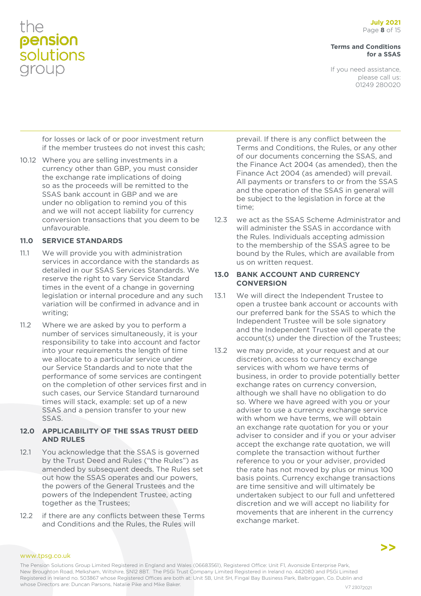#### **Terms and Conditions for a SSAS**

If you need assistance, please call us: 01249 280020

for losses or lack of or poor investment return if the member trustees do not invest this cash;

10.12 Where you are selling investments in a currency other than GBP, you must consider the exchange rate implications of doing so as the proceeds will be remitted to the SSAS bank account in GBP and we are under no obligation to remind you of this and we will not accept liability for currency conversion transactions that you deem to be unfavourable.

#### **11.0 SERVICE STANDARDS**

- 11.1 We will provide you with administration services in accordance with the standards as detailed in our SSAS Services Standards. We reserve the right to vary Service Standard times in the event of a change in governing legislation or internal procedure and any such variation will be confirmed in advance and in writing;
- 11.2 Where we are asked by you to perform a number of services simultaneously, it is your responsibility to take into account and factor into your requirements the length of time we allocate to a particular service under our Service Standards and to note that the performance of some services are contingent on the completion of other services first and in such cases, our Service Standard turnaround times will stack, example: set up of a new SSAS and a pension transfer to your new SSAS.

#### **12.0 APPLICABILITY OF THE SSAS TRUST DEED AND RULES**

- 12.1 You acknowledge that the SSAS is governed by the Trust Deed and Rules ("the Rules") as amended by subsequent deeds. The Rules set out how the SSAS operates and our powers, the powers of the General Trustees and the powers of the Independent Trustee, acting together as the Trustees;
- 12.2 if there are any conflicts between these Terms and Conditions and the Rules, the Rules will

prevail. If there is any conflict between the Terms and Conditions, the Rules, or any other of our documents concerning the SSAS, and the Finance Act 2004 (as amended), then the Finance Act 2004 (as amended) will prevail. All payments or transfers to or from the SSAS and the operation of the SSAS in general will be subject to the legislation in force at the time;

12.3 we act as the SSAS Scheme Administrator and will administer the SSAS in accordance with the Rules. Individuals accepting admission to the membership of the SSAS agree to be bound by the Rules, which are available from us on written request.

#### **13.0 BANK ACCOUNT AND CURRENCY CONVERSION**

- 13.1 We will direct the Independent Trustee to open a trustee bank account or accounts with our preferred bank for the SSAS to which the Independent Trustee will be sole signatory and the Independent Trustee will operate the account(s) under the direction of the Trustees;
- 13.2 we may provide, at your request and at our discretion, access to currency exchange services with whom we have terms of business, in order to provide potentially better exchange rates on currency conversion, although we shall have no obligation to do so. Where we have agreed with you or your adviser to use a currency exchange service with whom we have terms, we will obtain an exchange rate quotation for you or your adviser to consider and if you or your adviser accept the exchange rate quotation, we will complete the transaction without further reference to you or your adviser, provided the rate has not moved by plus or minus 100 basis points. Currency exchange transactions are time sensitive and will ultimately be undertaken subject to our full and unfettered discretion and we will accept no liability for movements that are inherent in the currency exchange market.

www.tpsg.co.uk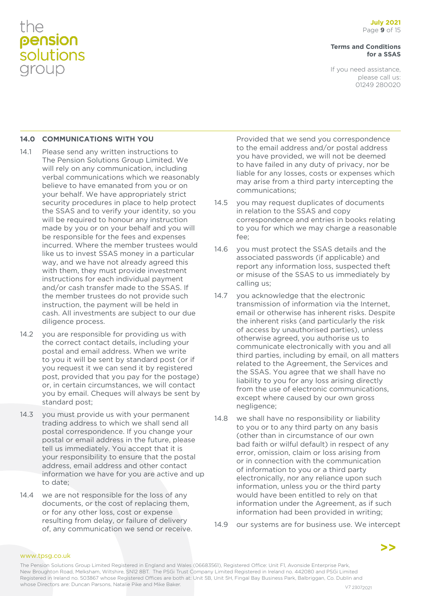#### **Terms and Conditions for a SSAS**

If you need assistance, please call us: 01249 280020

#### **14.0 COMMUNICATIONS WITH YOU**

- 14.1 Please send any written instructions to The Pension Solutions Group Limited. We will rely on any communication, including verbal communications which we reasonably believe to have emanated from you or on your behalf. We have appropriately strict security procedures in place to help protect the SSAS and to verify your identity, so you will be required to honour any instruction made by you or on your behalf and you will be responsible for the fees and expenses incurred. Where the member trustees would like us to invest SSAS money in a particular way, and we have not already agreed this with them, they must provide investment instructions for each individual payment and/or cash transfer made to the SSAS. If the member trustees do not provide such instruction, the payment will be held in cash. All investments are subject to our due diligence process.
- 14.2 you are responsible for providing us with the correct contact details, including your postal and email address. When we write to you it will be sent by standard post (or if you request it we can send it by registered post, provided that you pay for the postage) or, in certain circumstances, we will contact you by email. Cheques will always be sent by standard post;
- 14.3 you must provide us with your permanent trading address to which we shall send all postal correspondence. If you change your postal or email address in the future, please tell us immediately. You accept that it is your responsibility to ensure that the postal address, email address and other contact information we have for you are active and up to date;
- 14.4 we are not responsible for the loss of any documents, or the cost of replacing them, or for any other loss, cost or expense resulting from delay, or failure of delivery of, any communication we send or receive.

Provided that we send you correspondence to the email address and/or postal address you have provided, we will not be deemed to have failed in any duty of privacy, nor be liable for any losses, costs or expenses which may arise from a third party intercepting the communications;

- 14.5 you may request duplicates of documents in relation to the SSAS and copy correspondence and entries in books relating to you for which we may charge a reasonable fee;
- 14.6 you must protect the SSAS details and the associated passwords (if applicable) and report any information loss, suspected theft or misuse of the SSAS to us immediately by calling us;
- 14.7 you acknowledge that the electronic transmission of information via the Internet, email or otherwise has inherent risks. Despite the inherent risks (and particularly the risk of access by unauthorised parties), unless otherwise agreed, you authorise us to communicate electronically with you and all third parties, including by email, on all matters related to the Agreement, the Services and the SSAS. You agree that we shall have no liability to you for any loss arising directly from the use of electronic communications, except where caused by our own gross negligence;
- 14.8 we shall have no responsibility or liability to you or to any third party on any basis (other than in circumstance of our own bad faith or wilful default) in respect of any error, omission, claim or loss arising from or in connection with the communication of information to you or a third party electronically, nor any reliance upon such information, unless you or the third party would have been entitled to rely on that information under the Agreement, as if such information had been provided in writing;
- 14.9 our systems are for business use. We intercept

#### www.tpsg.co.uk

The Pension Solutions Group Limited Registered in England and Wales (06683561), Registered Office: Unit F1, Avonside Enterprise Park, New Broughton Road, Melksham, Wiltshire, SN12 8BT. The PSGi Trust Company Limited Registered in Ireland no. 442080 and PSGi Limited Registered in Ireland no. 503867 whose Registered Offices are both at: Unit 5B, Unit 5H, Fingal Bay Business Park, Balbriggan, Co. Dublin and whose Directors are: Duncan Parsons, Natalie Pike and Mike Baker. Value of the Value of the V7 23072021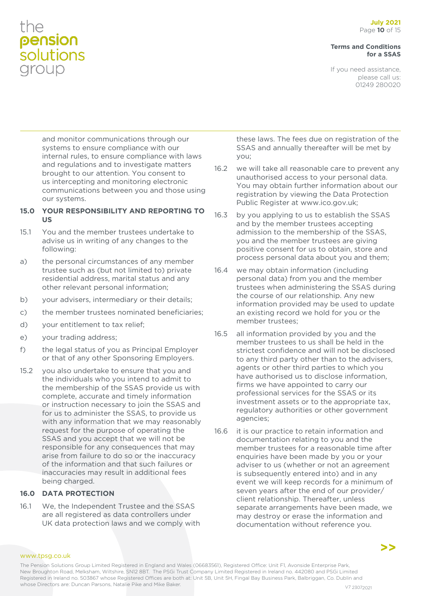#### **Terms and Conditions for a SSAS**

If you need assistance, please call us: 01249 280020

and monitor communications through our systems to ensure compliance with our internal rules, to ensure compliance with laws and regulations and to investigate matters brought to our attention. You consent to us intercepting and monitoring electronic communications between you and those using our systems.

#### **15.0 YOUR RESPONSIBILITY AND REPORTING TO US**

- 15.1 You and the member trustees undertake to advise us in writing of any changes to the following:
- a) the personal circumstances of any member trustee such as (but not limited to) private residential address, marital status and any other relevant personal information;
- b) your advisers, intermediary or their details;
- c) the member trustees nominated beneficiaries;
- d) your entitlement to tax relief;
- e) your trading address;
- f) the legal status of you as Principal Employer or that of any other Sponsoring Employers.
- 15.2 you also undertake to ensure that you and the individuals who you intend to admit to the membership of the SSAS provide us with complete, accurate and timely information or instruction necessary to join the SSAS and for us to administer the SSAS, to provide us with any information that we may reasonably request for the purpose of operating the SSAS and you accept that we will not be responsible for any consequences that may arise from failure to do so or the inaccuracy of the information and that such failures or inaccuracies may result in additional fees being charged.

### **16.0 DATA PROTECTION**

16.1 We, the Independent Trustee and the SSAS are all registered as data controllers under UK data protection laws and we comply with

these laws. The fees due on registration of the SSAS and annually thereafter will be met by you;

- 16.2 we will take all reasonable care to prevent any unauthorised access to your personal data. You may obtain further information about our registration by viewing the Data Protection Public Register at www.ico.gov.uk;
- 16.3 by you applying to us to establish the SSAS and by the member trustees accepting admission to the membership of the SSAS, you and the member trustees are giving positive consent for us to obtain, store and process personal data about you and them;
- 16.4 we may obtain information (including personal data) from you and the member trustees when administering the SSAS during the course of our relationship. Any new information provided may be used to update an existing record we hold for you or the member trustees;
- 16.5 all information provided by you and the member trustees to us shall be held in the strictest confidence and will not be disclosed to any third party other than to the advisers, agents or other third parties to which you have authorised us to disclose information, firms we have appointed to carry our professional services for the SSAS or its investment assets or to the appropriate tax, regulatory authorities or other government agencies;
- 16.6 it is our practice to retain information and documentation relating to you and the member trustees for a reasonable time after enquiries have been made by you or your adviser to us (whether or not an agreement is subsequently entered into) and in any event we will keep records for a minimum of seven years after the end of our provider/ client relationship. Thereafter, unless separate arrangements have been made, we may destroy or erase the information and documentation without reference you.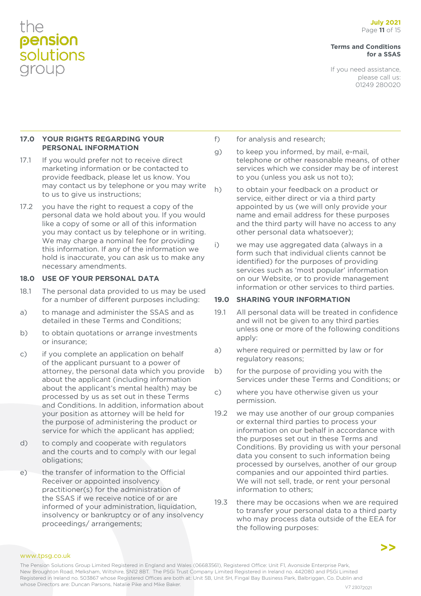#### **Terms and Conditions for a SSAS**

If you need assistance, please call us: 01249 280020

#### **17.0 YOUR RIGHTS REGARDING YOUR PERSONAL INFORMATION**

- 17.1 If you would prefer not to receive direct marketing information or be contacted to provide feedback, please let us know. You may contact us by telephone or you may write to us to give us instructions;
- 17.2 you have the right to request a copy of the personal data we hold about you. If you would like a copy of some or all of this information you may contact us by telephone or in writing. We may charge a nominal fee for providing this information. If any of the information we hold is inaccurate, you can ask us to make any necessary amendments.

#### **18.0 USE OF YOUR PERSONAL DATA**

- 18.1 The personal data provided to us may be used for a number of different purposes including:
- a) to manage and administer the SSAS and as detailed in these Terms and Conditions;
- b) to obtain quotations or arrange investments or insurance;
- c) if you complete an application on behalf of the applicant pursuant to a power of attorney, the personal data which you provide about the applicant (including information about the applicant's mental health) may be processed by us as set out in these Terms and Conditions. In addition, information about your position as attorney will be held for the purpose of administering the product or service for which the applicant has applied;
- d) to comply and cooperate with regulators and the courts and to comply with our legal obligations;
- e) the transfer of information to the Official Receiver or appointed insolvency practitioner(s) for the administration of the SSAS if we receive notice of or are informed of your administration, liquidation, insolvency or bankruptcy or of any insolvency proceedings/ arrangements;
- f) for analysis and research;
- g) to keep you informed, by mail, e-mail, telephone or other reasonable means, of other services which we consider may be of interest to you (unless you ask us not to);
- h) to obtain your feedback on a product or service, either direct or via a third party appointed by us (we will only provide your name and email address for these purposes and the third party will have no access to any other personal data whatsoever);
- i) we may use aggregated data (always in a form such that individual clients cannot be identified) for the purposes of providing services such as 'most popular' information on our Website, or to provide management information or other services to third parties.

#### **19.0 SHARING YOUR INFORMATION**

- 19.1 All personal data will be treated in confidence and will not be given to any third parties unless one or more of the following conditions apply:
- a) where required or permitted by law or for regulatory reasons;
- b) for the purpose of providing you with the Services under these Terms and Conditions; or
- c) where you have otherwise given us your permission.
- 19.2 we may use another of our group companies or external third parties to process your information on our behalf in accordance with the purposes set out in these Terms and Conditions. By providing us with your personal data you consent to such information being processed by ourselves, another of our group companies and our appointed third parties. We will not sell, trade, or rent your personal information to others;
- 19.3 there may be occasions when we are required to transfer your personal data to a third party who may process data outside of the EEA for the following purposes:

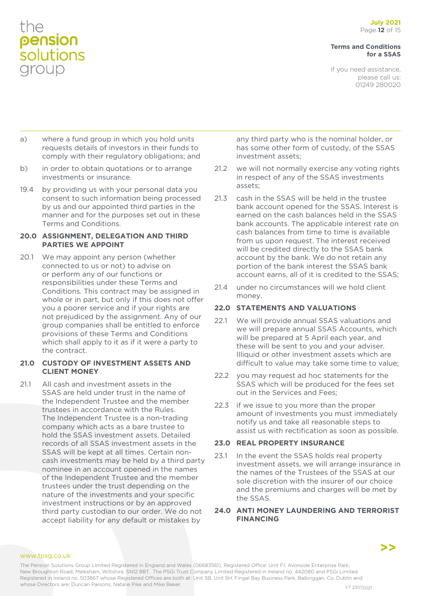#### **Terms and Conditions for a SSAS**

If you need assistance, please call us: 01249 280020

- a) where a fund group in which you hold units requests details of investors in their funds to comply with their regulatory obligations; and
- b) in order to obtain quotations or to arrange investments or insurance.
- 19.4 by providing us with your personal data you consent to such information being processed by us and our appointed third parties in the manner and for the purposes set out in these Terms and Conditions.

#### **20.0 ASSIGNMENT, DELEGATION AND THIRD PARTIES WE APPOINT**

20.1 We may appoint any person (whether connected to us or not) to advise on or perform any of our functions or responsibilities under these Terms and Conditions. This contract may be assigned in whole or in part, but only if this does not offer you a poorer service and if your rights are not prejudiced by the assignment. Any of our group companies shall be entitled to enforce provisions of these Terms and Conditions which shall apply to it as if it were a party to the contract.

#### **21.0 CUSTODY OF INVESTMENT ASSETS AND CLIENT MONEY**

21.1 All cash and investment assets in the SSAS are held under trust in the name of the Independent Trustee and the member trustees in accordance with the Rules. The Independent Trustee is a non-trading company which acts as a bare trustee to hold the SSAS investment assets. Detailed records of all SSAS investment assets in the SSAS will be kept at all times. Certain noncash investments may be held by a third party nominee in an account opened in the names of the Independent Trustee and the member trustees under the trust depending on the nature of the investments and your specific investment instructions or by an approved third party custodian to our order. We do not accept liability for any default or mistakes by

any third party who is the nominal holder, or has some other form of custody, of the SSAS investment assets;

- 21.2 we will not normally exercise any voting rights in respect of any of the SSAS investments assets;
- 21.3 cash in the SSAS will be held in the trustee bank account opened for the SSAS. Interest is earned on the cash balances held in the SSAS bank accounts. The applicable interest rate on cash balances from time to time is available from us upon request. The interest received will be credited directly to the SSAS bank account by the bank. We do not retain any portion of the bank interest the SSAS bank account earns, all of it is credited to the SSAS;
- 21.4 under no circumstances will we hold client money.

### **22.0 STATEMENTS AND VALUATIONS**

- 22.1 We will provide annual SSAS valuations and we will prepare annual SSAS Accounts, which will be prepared at 5 April each year, and these will be sent to you and your adviser. Illiquid or other investment assets which are difficult to value may take some time to value;
- 22.2 you may request ad hoc statements for the SSAS which will be produced for the fees set out in the Services and Fees;
- 22.3 if we issue to you more than the proper amount of investments you must immediately notify us and take all reasonable steps to assist us with rectification as soon as possible.

### **23.0 REAL PROPERTY INSURANCE**

23.1 In the event the SSAS holds real property investment assets, we will arrange insurance in the names of the Trustees of the SSAS at our sole discretion with the insurer of our choice and the premiums and charges will be met by the SSAS.

#### **24.0 ANTI MONEY LAUNDERING AND TERRORIST FINANCING**

www.tpsg.co.uk

The Pension Solutions Group Limited Registered in England and Wales (06683561), Registered Office: Unit F1, Avonside Enterprise Park, New Broughton Road, Melksham, Wiltshire, SN12 8BT. The PSGi Trust Company Limited Registered in Ireland no. 442080 and PSGi Limited Registered in Ireland no. 503867 whose Registered Offices are both at: Unit 5B, Unit 5H, Fingal Bay Business Park, Balbriggan, Co. Dublin and whose Directors are: Duncan Parsons, Natalie Pike and Mike Baker. Value of the Value of the V7 23072021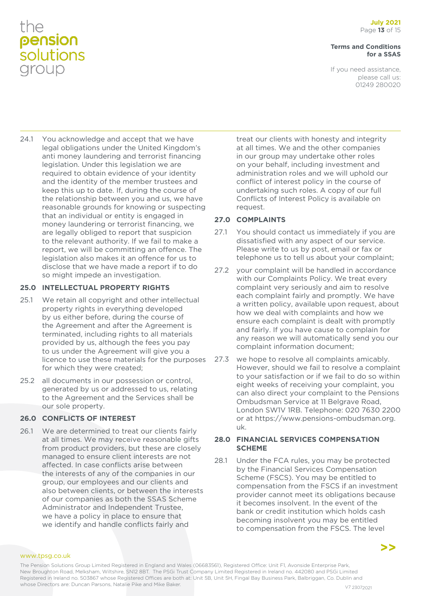#### **Terms and Conditions for a SSAS**

If you need assistance, please call us: 01249 280020

24.1 You acknowledge and accept that we have legal obligations under the United Kingdom's anti money laundering and terrorist financing legislation. Under this legislation we are required to obtain evidence of your identity and the identity of the member trustees and keep this up to date. If, during the course of the relationship between you and us, we have reasonable grounds for knowing or suspecting that an individual or entity is engaged in money laundering or terrorist financing, we are legally obliged to report that suspicion to the relevant authority. If we fail to make a report, we will be committing an offence. The legislation also makes it an offence for us to disclose that we have made a report if to do so might impede an investigation.

### **25.0 INTELLECTUAL PROPERTY RIGHTS**

- 25.1 We retain all copyright and other intellectual property rights in everything developed by us either before, during the course of the Agreement and after the Agreement is terminated, including rights to all materials provided by us, although the fees you pay to us under the Agreement will give you a licence to use these materials for the purposes for which they were created;
- 25.2 all documents in our possession or control, generated by us or addressed to us, relating to the Agreement and the Services shall be our sole property.

### **26.0 CONFLICTS OF INTEREST**

26.1 We are determined to treat our clients fairly at all times. We may receive reasonable gifts from product providers, but these are closely managed to ensure client interests are not affected. In case conflicts arise between the interests of any of the companies in our group, our employees and our clients and also between clients, or between the interests of our companies as both the SSAS Scheme Administrator and Independent Trustee, we have a policy in place to ensure that we identify and handle conflicts fairly and

treat our clients with honesty and integrity at all times. We and the other companies in our group may undertake other roles on your behalf, including investment and administration roles and we will uphold our conflict of interest policy in the course of undertaking such roles. A copy of our full Conflicts of Interest Policy is available on request.

### **27.0 COMPLAINTS**

- 27.1 You should contact us immediately if you are dissatisfied with any aspect of our service. Please write to us by post, email or fax or telephone us to tell us about your complaint;
- 27.2 vour complaint will be handled in accordance with our Complaints Policy. We treat every complaint very seriously and aim to resolve each complaint fairly and promptly. We have a written policy, available upon request, about how we deal with complaints and how we ensure each complaint is dealt with promptly and fairly. If you have cause to complain for any reason we will automatically send you our complaint information document;
- 27.3 we hope to resolve all complaints amicably. However, should we fail to resolve a complaint to your satisfaction or if we fail to do so within eight weeks of receiving your complaint, you can also direct your complaint to the Pensions Ombudsman Service at 11 Belgrave Road, London SW1V 1RB. Telephone: 020 7630 2200 or at https://www.pensions-ombudsman.org. uk.

### **28.0 FINANCIAL SERVICES COMPENSATION SCHEME**

28.1 Under the FCA rules, you may be protected by the Financial Services Compensation Scheme (FSCS). You may be entitled to compensation from the FSCS if an investment provider cannot meet its obligations because it becomes insolvent. In the event of the bank or credit institution which holds cash becoming insolvent you may be entitled to compensation from the FSCS. The level

**>>**

#### www.tpsg.co.uk

The Pension Solutions Group Limited Registered in England and Wales (06683561), Registered Office: Unit F1, Avonside Enterprise Park, New Broughton Road, Melksham, Wiltshire, SN12 8BT. The PSGi Trust Company Limited Registered in Ireland no. 442080 and PSGi Limited Registered in Ireland no. 503867 whose Registered Offices are both at: Unit 5B, Unit 5H, Fingal Bay Business Park, Balbriggan, Co. Dublin and whose Directors are: Duncan Parsons, Natalie Pike and Mike Baker. Value of the Value of the V7 23072021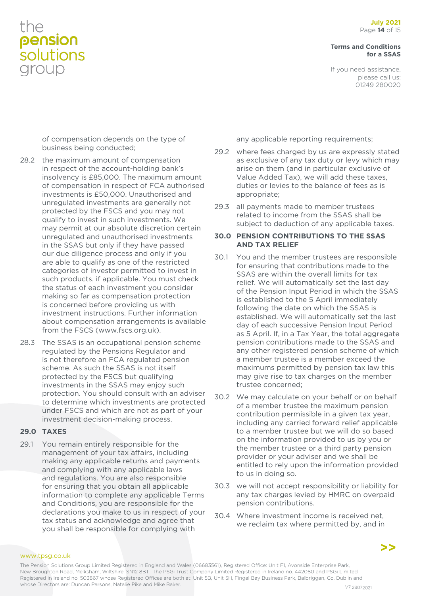**Terms and Conditions for a SSAS**

If you need assistance, please call us: 01249 280020

of compensation depends on the type of business being conducted;

- 28.2 the maximum amount of compensation in respect of the account-holding bank's insolvency is £85,000. The maximum amount of compensation in respect of FCA authorised investments is £50,000. Unauthorised and unregulated investments are generally not protected by the FSCS and you may not qualify to invest in such investments. We may permit at our absolute discretion certain unregulated and unauthorised investments in the SSAS but only if they have passed our due diligence process and only if you are able to qualify as one of the restricted categories of investor permitted to invest in such products, if applicable. You must check the status of each investment you consider making so far as compensation protection is concerned before providing us with investment instructions. Further information about compensation arrangements is available from the FSCS (www.fscs.org.uk).
- 28.3 The SSAS is an occupational pension scheme regulated by the Pensions Regulator and is not therefore an FCA regulated pension scheme. As such the SSAS is not itself protected by the FSCS but qualifying investments in the SSAS may enjoy such protection. You should consult with an adviser to determine which investments are protected under FSCS and which are not as part of your investment decision-making process.

### **29.0 TAXES**

29.1 You remain entirely responsible for the management of your tax affairs, including making any applicable returns and payments and complying with any applicable laws and regulations. You are also responsible for ensuring that you obtain all applicable information to complete any applicable Terms and Conditions, you are responsible for the declarations you make to us in respect of your tax status and acknowledge and agree that you shall be responsible for complying with

any applicable reporting requirements;

- 29.2 where fees charged by us are expressly stated as exclusive of any tax duty or levy which may arise on them (and in particular exclusive of Value Added Tax), we will add these taxes, duties or levies to the balance of fees as is appropriate;
- 29.3 all payments made to member trustees related to income from the SSAS shall be subject to deduction of any applicable taxes.

#### **30.0 PENSION CONTRIBUTIONS TO THE SSAS AND TAX RELIEF**

- 30.1 You and the member trustees are responsible for ensuring that contributions made to the SSAS are within the overall limits for tax relief. We will automatically set the last day of the Pension Input Period in which the SSAS is established to the 5 April immediately following the date on which the SSAS is established. We will automatically set the last day of each successive Pension Input Period as 5 April. If, in a Tax Year, the total aggregate pension contributions made to the SSAS and any other registered pension scheme of which a member trustee is a member exceed the maximums permitted by pension tax law this may give rise to tax charges on the member trustee concerned;
- 30.2 We may calculate on your behalf or on behalf of a member trustee the maximum pension contribution permissible in a given tax year, including any carried forward relief applicable to a member trustee but we will do so based on the information provided to us by you or the member trustee or a third party pension provider or your adviser and we shall be entitled to rely upon the information provided to us in doing so.
- 30.3 we will not accept responsibility or liability for any tax charges levied by HMRC on overpaid pension contributions.
- 30.4 Where investment income is received net, we reclaim tax where permitted by, and in

www.tpsg.co.uk

The Pension Solutions Group Limited Registered in England and Wales (06683561), Registered Office: Unit F1, Avonside Enterprise Park, New Broughton Road, Melksham, Wiltshire, SN12 8BT. The PSGi Trust Company Limited Registered in Ireland no. 442080 and PSGi Limited Registered in Ireland no. 503867 whose Registered Offices are both at: Unit 5B, Unit 5H, Fingal Bay Business Park, Balbriggan, Co. Dublin and whose Directors are: Duncan Parsons, Natalie Pike and Mike Baker. V7 23072021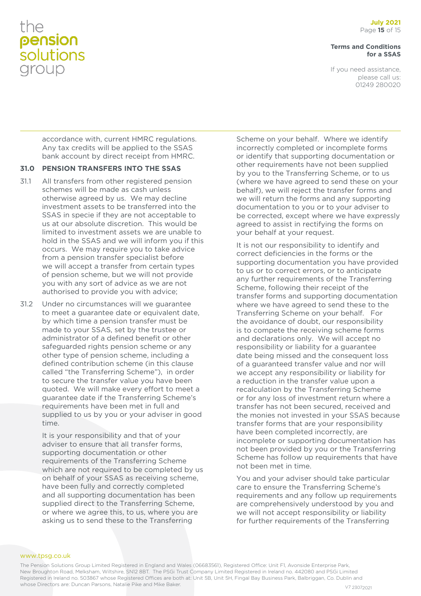#### **Terms and Conditions for a SSAS**

If you need assistance, please call us: 01249 280020

accordance with, current HMRC regulations. Any tax credits will be applied to the SSAS bank account by direct receipt from HMRC.

#### **31.0 PENSION TRANSFERS INTO THE SSAS**

- 31.1 All transfers from other registered pension schemes will be made as cash unless otherwise agreed by us. We may decline investment assets to be transferred into the SSAS in specie if they are not acceptable to us at our absolute discretion. This would be limited to investment assets we are unable to hold in the SSAS and we will inform you if this occurs. We may require you to take advice from a pension transfer specialist before we will accept a transfer from certain types of pension scheme, but we will not provide you with any sort of advice as we are not authorised to provide you with advice;
- 31.2 Under no circumstances will we guarantee to meet a guarantee date or equivalent date, by which time a pension transfer must be made to your SSAS, set by the trustee or administrator of a defined benefit or other safeguarded rights pension scheme or any other type of pension scheme, including a defined contribution scheme (in this clause called "the Transferring Scheme"), in order to secure the transfer value you have been quoted. We will make every effort to meet a guarantee date if the Transferring Scheme's requirements have been met in full and supplied to us by you or your adviser in good time.

It is your responsibility and that of your adviser to ensure that all transfer forms, supporting documentation or other requirements of the Transferring Scheme which are not required to be completed by us on behalf of your SSAS as receiving scheme, have been fully and correctly completed and all supporting documentation has been supplied direct to the Transferring Scheme, or where we agree this, to us, where you are asking us to send these to the Transferring

Scheme on your behalf. Where we identify incorrectly completed or incomplete forms or identify that supporting documentation or other requirements have not been supplied by you to the Transferring Scheme, or to us (where we have agreed to send these on your behalf), we will reject the transfer forms and we will return the forms and any supporting documentation to you or to your adviser to be corrected, except where we have expressly agreed to assist in rectifying the forms on your behalf at your request.

It is not our responsibility to identify and correct deficiencies in the forms or the supporting documentation you have provided to us or to correct errors, or to anticipate any further requirements of the Transferring Scheme, following their receipt of the transfer forms and supporting documentation where we have agreed to send these to the Transferring Scheme on your behalf. For the avoidance of doubt, our responsibility is to compete the receiving scheme forms and declarations only. We will accept no responsibility or liability for a guarantee date being missed and the consequent loss of a guaranteed transfer value and nor will we accept any responsibility or liability for a reduction in the transfer value upon a recalculation by the Transferring Scheme or for any loss of investment return where a transfer has not been secured, received and the monies not invested in your SSAS because transfer forms that are your responsibility have been completed incorrectly, are incomplete or supporting documentation has not been provided by you or the Transferring Scheme has follow up requirements that have not been met in time.

You and your adviser should take particular care to ensure the Transferring Scheme's requirements and any follow up requirements are comprehensively understood by you and we will not accept responsibility or liability for further requirements of the Transferring

The Pension Solutions Group Limited Registered in England and Wales (06683561), Registered Office: Unit F1, Avonside Enterprise Park, New Broughton Road, Melksham, Wiltshire, SN12 8BT. The PSGi Trust Company Limited Registered in Ireland no. 442080 and PSGi Limited Registered in Ireland no. 503867 whose Registered Offices are both at: Unit 5B, Unit 5H, Fingal Bay Business Park, Balbriggan, Co. Dublin and whose Directors are: Duncan Parsons, Natalie Pike and Mike Baker. V7 23072021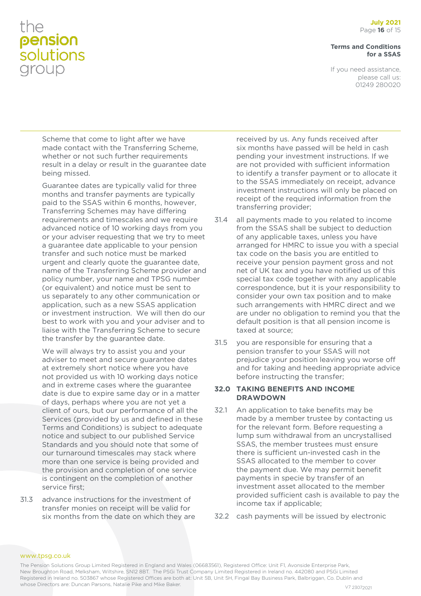#### **Terms and Conditions for a SSAS**

If you need assistance, please call us: 01249 280020

Scheme that come to light after we have made contact with the Transferring Scheme, whether or not such further requirements result in a delay or result in the guarantee date being missed.

Guarantee dates are typically valid for three months and transfer payments are typically paid to the SSAS within 6 months, however, Transferring Schemes may have differing requirements and timescales and we require advanced notice of 10 working days from you or your adviser requesting that we try to meet a guarantee date applicable to your pension transfer and such notice must be marked urgent and clearly quote the guarantee date, name of the Transferring Scheme provider and policy number, your name and TPSG number (or equivalent) and notice must be sent to us separately to any other communication or application, such as a new SSAS application or investment instruction. We will then do our best to work with you and your adviser and to liaise with the Transferring Scheme to secure the transfer by the guarantee date.

We will always try to assist you and your adviser to meet and secure guarantee dates at extremely short notice where you have not provided us with 10 working days notice and in extreme cases where the guarantee date is due to expire same day or in a matter of days, perhaps where you are not yet a client of ours, but our performance of all the Services (provided by us and defined in these Terms and Conditions) is subject to adequate notice and subject to our published Service Standards and you should note that some of our turnaround timescales may stack where more than one service is being provided and the provision and completion of one service is contingent on the completion of another service first;

31.3 advance instructions for the investment of transfer monies on receipt will be valid for six months from the date on which they are

received by us. Any funds received after six months have passed will be held in cash pending your investment instructions. If we are not provided with sufficient information to identify a transfer payment or to allocate it to the SSAS immediately on receipt, advance investment instructions will only be placed on receipt of the required information from the transferring provider;

- 31.4 all payments made to you related to income from the SSAS shall be subject to deduction of any applicable taxes, unless you have arranged for HMRC to issue you with a special tax code on the basis you are entitled to receive your pension payment gross and not net of UK tax and you have notified us of this special tax code together with any applicable correspondence, but it is your responsibility to consider your own tax position and to make such arrangements with HMRC direct and we are under no obligation to remind you that the default position is that all pension income is taxed at source;
- 31.5 you are responsible for ensuring that a pension transfer to your SSAS will not prejudice your position leaving you worse off and for taking and heeding appropriate advice before instructing the transfer;

#### **32.0 TAKING BENEFITS AND INCOME DRAWDOWN**

- 32.1 An application to take benefits may be made by a member trustee by contacting us for the relevant form. Before requesting a lump sum withdrawal from an uncrystallised SSAS, the member trustees must ensure there is sufficient un-invested cash in the SSAS allocated to the member to cover the payment due. We may permit benefit payments in specie by transfer of an investment asset allocated to the member provided sufficient cash is available to pay the income tax if applicable;
- 32.2 cash payments will be issued by electronic

The Pension Solutions Group Limited Registered in England and Wales (06683561), Registered Office: Unit F1, Avonside Enterprise Park, New Broughton Road, Melksham, Wiltshire, SN12 8BT. The PSGi Trust Company Limited Registered in Ireland no. 442080 and PSGi Limited Registered in Ireland no. 503867 whose Registered Offices are both at: Unit 5B, Unit 5H, Fingal Bay Business Park, Balbriggan, Co. Dublin and whose Directors are: Duncan Parsons, Natalie Pike and Mike Baker. V7 23072021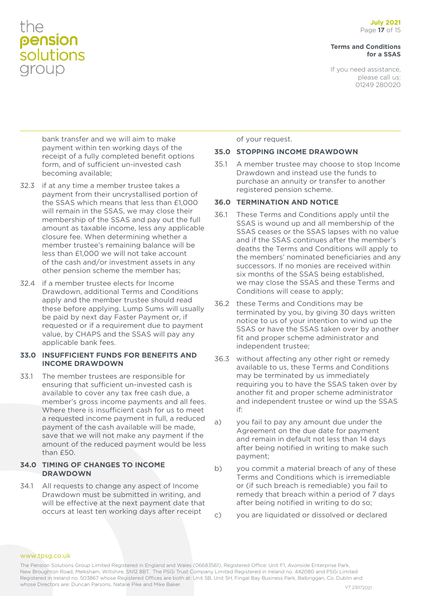#### **Terms and Conditions for a SSAS**

If you need assistance, please call us: 01249 280020

bank transfer and we will aim to make payment within ten working days of the receipt of a fully completed benefit options form, and of sufficient un-invested cash becoming available;

- 32.3 if at any time a member trustee takes a payment from their uncrystallised portion of the SSAS which means that less than £1,000 will remain in the SSAS, we may close their membership of the SSAS and pay out the full amount as taxable income, less any applicable closure fee. When determining whether a member trustee's remaining balance will be less than £1,000 we will not take account of the cash and/or investment assets in any other pension scheme the member has;
- 32.4 if a member trustee elects for Income Drawdown, additional Terms and Conditions apply and the member trustee should read these before applying. Lump Sums will usually be paid by next day Faster Payment or, if requested or if a requirement due to payment value, by CHAPS and the SSAS will pay any applicable bank fees.

#### **33.0 INSUFFICIENT FUNDS FOR BENEFITS AND INCOME DRAWDOWN**

33.1 The member trustees are responsible for ensuring that sufficient un-invested cash is available to cover any tax free cash due, a member's gross income payments and all fees. Where there is insufficient cash for us to meet a requested income payment in full, a reduced payment of the cash available will be made, save that we will not make any payment if the amount of the reduced payment would be less than £50.

### **34.0 TIMING OF CHANGES TO INCOME DRAWDOWN**

34.1 All requests to change any aspect of Income Drawdown must be submitted in writing, and will be effective at the next payment date that occurs at least ten working days after receipt

of your request.

### **35.0 STOPPING INCOME DRAWDOWN**

35.1 A member trustee may choose to stop Income Drawdown and instead use the funds to purchase an annuity or transfer to another registered pension scheme.

### **36.0 TERMINATION AND NOTICE**

- 36.1 These Terms and Conditions apply until the SSAS is wound up and all membership of the SSAS ceases or the SSAS lapses with no value and if the SSAS continues after the member's deaths the Terms and Conditions will apply to the members' nominated beneficiaries and any successors. If no monies are received within six months of the SSAS being established, we may close the SSAS and these Terms and Conditions will cease to apply;
- 36.2 these Terms and Conditions may be terminated by you, by giving 30 days written notice to us of your intention to wind up the SSAS or have the SSAS taken over by another fit and proper scheme administrator and independent trustee;
- 36.3 without affecting any other right or remedy available to us, these Terms and Conditions may be terminated by us immediately requiring you to have the SSAS taken over by another fit and proper scheme administrator and independent trustee or wind up the SSAS if:
- a) you fail to pay any amount due under the Agreement on the due date for payment and remain in default not less than 14 days after being notified in writing to make such payment;
- b) you commit a material breach of any of these Terms and Conditions which is irremediable or (if such breach is remediable) you fail to remedy that breach within a period of 7 days after being notified in writing to do so;
- c) you are liquidated or dissolved or declared

The Pension Solutions Group Limited Registered in England and Wales (06683561), Registered Office: Unit F1, Avonside Enterprise Park, New Broughton Road, Melksham, Wiltshire, SN12 8BT. The PSGi Trust Company Limited Registered in Ireland no. 442080 and PSGi Limited Registered in Ireland no. 503867 whose Registered Offices are both at: Unit 5B, Unit 5H, Fingal Bay Business Park, Balbriggan, Co. Dublin and whose Directors are: Duncan Parsons, Natalie Pike and Mike Baker. Value of the Value of the V7 23072021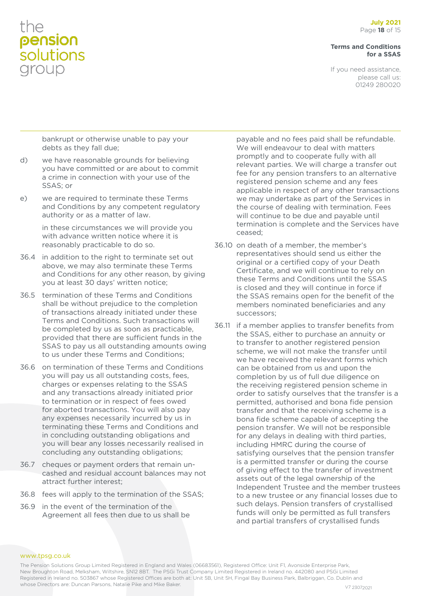#### **Terms and Conditions for a SSAS**

If you need assistance, please call us: 01249 280020

bankrupt or otherwise unable to pay your debts as they fall due;

- d) we have reasonable grounds for believing you have committed or are about to commit a crime in connection with your use of the SSAS; or
- e) we are required to terminate these Terms and Conditions by any competent regulatory authority or as a matter of law.

in these circumstances we will provide you with advance written notice where it is reasonably practicable to do so.

- 36.4 in addition to the right to terminate set out above, we may also terminate these Terms and Conditions for any other reason, by giving you at least 30 days' written notice;
- 36.5 termination of these Terms and Conditions shall be without prejudice to the completion of transactions already initiated under these Terms and Conditions. Such transactions will be completed by us as soon as practicable, provided that there are sufficient funds in the SSAS to pay us all outstanding amounts owing to us under these Terms and Conditions;
- 36.6 on termination of these Terms and Conditions you will pay us all outstanding costs, fees, charges or expenses relating to the SSAS and any transactions already initiated prior to termination or in respect of fees owed for aborted transactions. You will also pay any expenses necessarily incurred by us in terminating these Terms and Conditions and in concluding outstanding obligations and you will bear any losses necessarily realised in concluding any outstanding obligations;
- 36.7 cheques or payment orders that remain uncashed and residual account balances may not attract further interest;
- 36.8 fees will apply to the termination of the SSAS;
- 36.9 in the event of the termination of the Agreement all fees then due to us shall be

payable and no fees paid shall be refundable. We will endeavour to deal with matters promptly and to cooperate fully with all relevant parties. We will charge a transfer out fee for any pension transfers to an alternative registered pension scheme and any fees applicable in respect of any other transactions we may undertake as part of the Services in the course of dealing with termination. Fees will continue to be due and payable until termination is complete and the Services have ceased;

- 36.10 on death of a member, the member's representatives should send us either the original or a certified copy of your Death Certificate, and we will continue to rely on these Terms and Conditions until the SSAS is closed and they will continue in force if the SSAS remains open for the benefit of the members nominated beneficiaries and any successors;
- 36.11 if a member applies to transfer benefits from the SSAS, either to purchase an annuity or to transfer to another registered pension scheme, we will not make the transfer until we have received the relevant forms which can be obtained from us and upon the completion by us of full due diligence on the receiving registered pension scheme in order to satisfy ourselves that the transfer is a permitted, authorised and bona fide pension transfer and that the receiving scheme is a bona fide scheme capable of accepting the pension transfer. We will not be responsible for any delays in dealing with third parties, including HMRC during the course of satisfying ourselves that the pension transfer is a permitted transfer or during the course of giving effect to the transfer of investment assets out of the legal ownership of the Independent Trustee and the member trustees to a new trustee or any financial losses due to such delays. Pension transfers of crystallised funds will only be permitted as full transfers and partial transfers of crystallised funds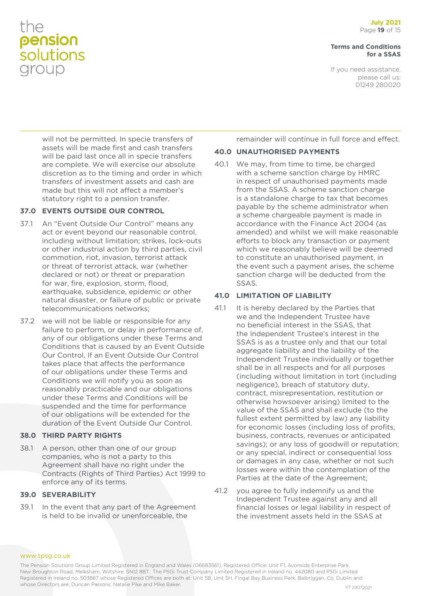#### **Terms and Conditions for a SSAS**

If you need assistance, please call us: 01249 280020

will not be permitted. In specie transfers of assets will be made first and cash transfers will be paid last once all in specie transfers are complete. We will exercise our absolute discretion as to the timing and order in which transfers of investment assets and cash are made but this will not affect a member's statutory right to a pension transfer.

### **37.0 EVENTS OUTSIDE OUR CONTROL**

- 37.1 An "Event Outside Our Control" means any act or event beyond our reasonable control, including without limitation; strikes, lock-outs or other industrial action by third parties, civil commotion, riot, invasion, terrorist attack or threat of terrorist attack, war (whether declared or not) or threat or preparation for war, fire, explosion, storm, flood, earthquake, subsidence, epidemic or other natural disaster, or failure of public or private telecommunications networks;
- 37.2 we will not be liable or responsible for any failure to perform, or delay in performance of, any of our obligations under these Terms and Conditions that is caused by an Event Outside Our Control. If an Event Outside Our Control takes place that affects the performance of our obligations under these Terms and Conditions we will notify you as soon as reasonably practicable and our obligations under these Terms and Conditions will be suspended and the time for performance of our obligations will be extended for the duration of the Event Outside Our Control.

### **38.0 THIRD PARTY RIGHTS**

38.1 A person, other than one of our group companies, who is not a party to this Agreement shall have no right under the Contracts (Rights of Third Parties) Act 1999 to enforce any of its terms.

### **39.0 SEVERABILITY**

39.1 In the event that any part of the Agreement is held to be invalid or unenforceable, the

remainder will continue in full force and effect.

### **40.0 UNAUTHORISED PAYMENTS**

40.1 We may, from time to time, be charged with a scheme sanction charge by HMRC in respect of unauthorised payments made from the SSAS. A scheme sanction charge is a standalone charge to tax that becomes payable by the scheme administrator when a scheme chargeable payment is made in accordance with the Finance Act 2004 (as amended) and whilst we will make reasonable efforts to block any transaction or payment which we reasonably believe will be deemed to constitute an unauthorised payment, in the event such a payment arises, the scheme sanction charge will be deducted from the SSAS.

### **41.0 LIMITATION OF LIABILITY**

- 41.1 It is hereby declared by the Parties that we and the Independent Trustee have no beneficial interest in the SSAS, that the Independent Trustee's interest in the SSAS is as a trustee only and that our total aggregate liability and the liability of the Independent Trustee individually or together shall be in all respects and for all purposes (including without limitation in tort (including negligence), breach of statutory duty, contract, misrepresentation, restitution or otherwise howsoever arising) limited to the value of the SSAS and shall exclude (to the fullest extent permitted by law) any liability for economic losses (including loss of profits, business, contracts, revenues or anticipated savings); or any loss of goodwill or reputation; or any special, indirect or consequential loss or damages in any case, whether or not such losses were within the contemplation of the Parties at the date of the Agreement;
- 41.2 you agree to fully indemnify us and the Independent Trustee against any and all financial losses or legal liability in respect of the investment assets held in the SSAS at

The Pension Solutions Group Limited Registered in England and Wales (06683561), Registered Office: Unit F1, Avonside Enterprise Park, New Broughton Road, Melksham, Wiltshire, SN12 8BT. The PSGi Trust Company Limited Registered in Ireland no. 442080 and PSGi Limited Registered in Ireland no. 503867 whose Registered Offices are both at: Unit 5B, Unit 5H, Fingal Bay Business Park, Balbriggan, Co. Dublin and whose Directors are: Duncan Parsons, Natalie Pike and Mike Baker. Value of the Value of the V7 23072021